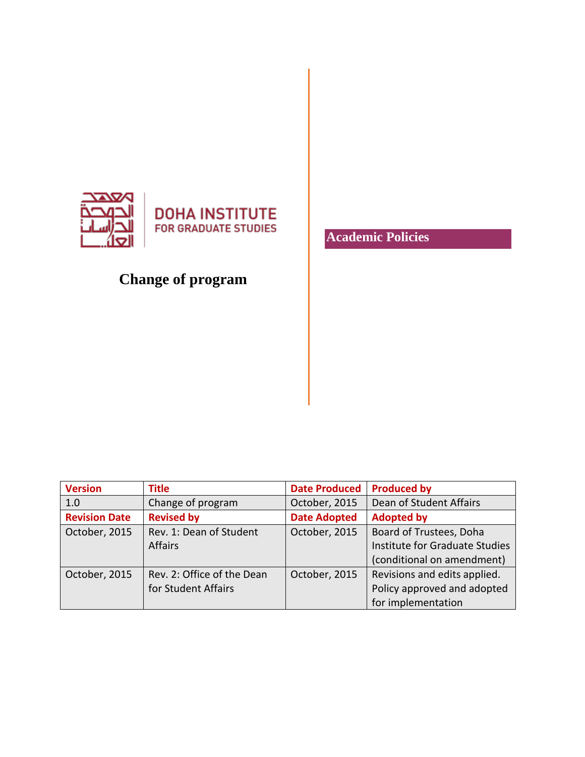

**DOHA INSTITUTE FOR GRADUATE STUDIES** 

## **Change of program**

**Academic Policies**

| <b>Version</b>       | <b>Title</b>               | <b>Date Produced</b> | <b>Produced by</b>             |
|----------------------|----------------------------|----------------------|--------------------------------|
| 1.0                  | Change of program          | October, 2015        | Dean of Student Affairs        |
| <b>Revision Date</b> | <b>Revised by</b>          | <b>Date Adopted</b>  | <b>Adopted by</b>              |
| October, 2015        | Rev. 1: Dean of Student    | October, 2015        | Board of Trustees, Doha        |
|                      | <b>Affairs</b>             |                      | Institute for Graduate Studies |
|                      |                            |                      | (conditional on amendment)     |
| October, 2015        | Rev. 2: Office of the Dean | October, 2015        | Revisions and edits applied.   |
|                      | for Student Affairs        |                      | Policy approved and adopted    |
|                      |                            |                      | for implementation             |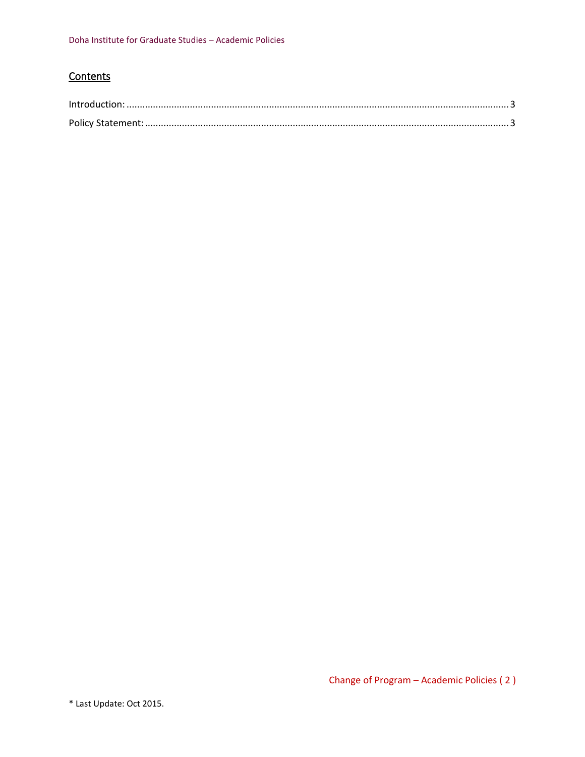## **Contents**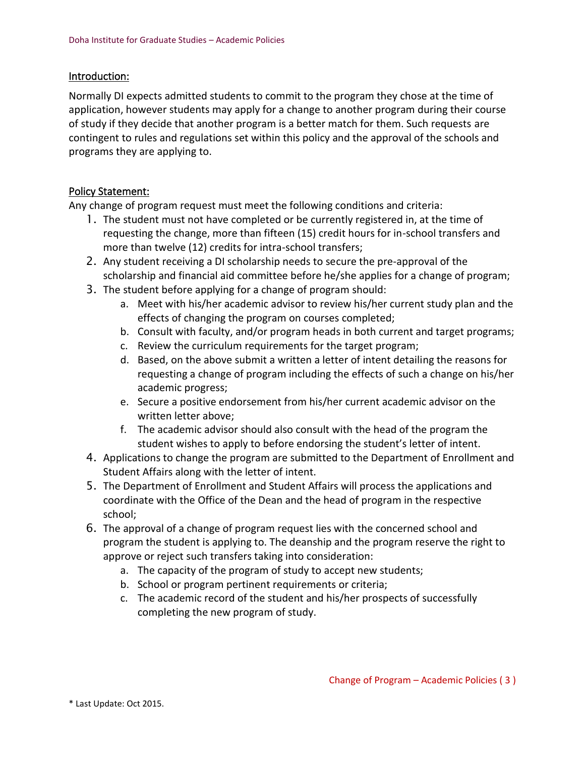## <span id="page-2-0"></span>Introduction:

Normally DI expects admitted students to commit to the program they chose at the time of application, however students may apply for a change to another program during their course of study if they decide that another program is a better match for them. Such requests are contingent to rules and regulations set within this policy and the approval of the schools and programs they are applying to.

## <span id="page-2-1"></span>Policy Statement:

Any change of program request must meet the following conditions and criteria:

- 1. The student must not have completed or be currently registered in, at the time of requesting the change, more than fifteen (15) credit hours for in-school transfers and more than twelve (12) credits for intra-school transfers;
- 2. Any student receiving a DI scholarship needs to secure the pre-approval of the scholarship and financial aid committee before he/she applies for a change of program;
- 3. The student before applying for a change of program should:
	- a. Meet with his/her academic advisor to review his/her current study plan and the effects of changing the program on courses completed;
	- b. Consult with faculty, and/or program heads in both current and target programs;
	- c. Review the curriculum requirements for the target program;
	- d. Based, on the above submit a written a letter of intent detailing the reasons for requesting a change of program including the effects of such a change on his/her academic progress;
	- e. Secure a positive endorsement from his/her current academic advisor on the written letter above;
	- f. The academic advisor should also consult with the head of the program the student wishes to apply to before endorsing the student's letter of intent.
- 4. Applications to change the program are submitted to the Department of Enrollment and Student Affairs along with the letter of intent.
- 5. The Department of Enrollment and Student Affairs will process the applications and coordinate with the Office of the Dean and the head of program in the respective school;
- 6. The approval of a change of program request lies with the concerned school and program the student is applying to. The deanship and the program reserve the right to approve or reject such transfers taking into consideration:
	- a. The capacity of the program of study to accept new students;
	- b. School or program pertinent requirements or criteria;
	- c. The academic record of the student and his/her prospects of successfully completing the new program of study.